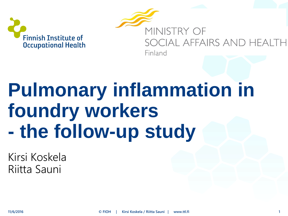

MINISTRY OF SOCIAL AFFAIRS AND HEA Finland

## **Pulmonary inflammation in foundry workers - the follow-up study**

Kirsi Koskela Riitta Sauni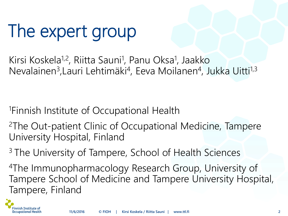## The expert group

Kirsi Koskela<sup>1,2</sup>, Riitta Sauni<sup>1</sup>, Panu Oksa<sup>1</sup>, Jaakko Nevalainen<sup>3</sup>, Lauri Lehtimäki<sup>4</sup>, Eeva Moilanen<sup>4</sup>, Jukka Uitti<sup>1,3</sup>

<sup>1</sup>Finnish Institute of Occupational Health

<sup>2</sup>The Out-patient Clinic of Occupational Medicine, Tampere University Hospital, Finland

<sup>3</sup> The University of Tampere, School of Health Sciences

<sup>4</sup>The Immunopharmacology Research Group, University of Tampere School of Medicine and Tampere University Hospital, Tampere, Finland

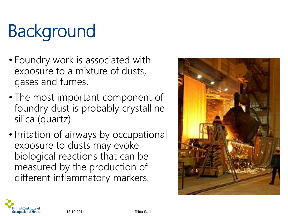# Background

- Foundry work is associated with exposure to a mixture of dusts, gases and fumes.
- The most important component of foundry dust is probably crystalline silica (quartz).
- Irritation of airways by occupational exposure to dusts may evoke biological reactions that can be measured by the production of different inflammatory markers.



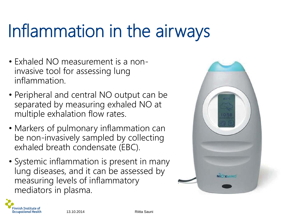## Inflammation in the airways

- Exhaled NO measurement is a noninvasive tool for assessing lung inflammation.
- Peripheral and central NO output can be separated by measuring exhaled NO at multiple exhalation flow rates.
- Markers of pulmonary inflammation can be non-invasively sampled by collecting exhaled breath condensate (EBC).
- Systemic inflammation is present in many lung diseases, and it can be assessed by measuring levels of inflammatory mediators in plasma.



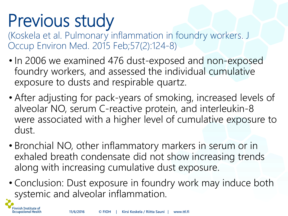## Previous study

Finnish Institute of **Occupational Health** 

(Koskela et al. Pulmonary inflammation in foundry workers. J Occup Environ Med. 2015 Feb;57(2):124-8)

- In 2006 we examined 476 dust-exposed and non-exposed foundry workers, and assessed the individual cumulative exposure to dusts and respirable quartz.
- After adjusting for pack-years of smoking, increased levels of alveolar NO, serum C-reactive protein, and interleukin-8 were associated with a higher level of cumulative exposure to dust.
- Bronchial NO, other inflammatory markers in serum or in exhaled breath condensate did not show increasing trends along with increasing cumulative dust exposure.
- Conclusion: Dust exposure in foundry work may induce both systemic and alveolar inflammation.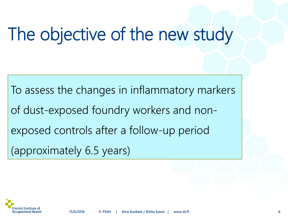## The objective of the new study

To assess the changes in inflammatory markers of dust-exposed foundry workers and nonexposed controls after a follow-up period (approximately 6.5 years)

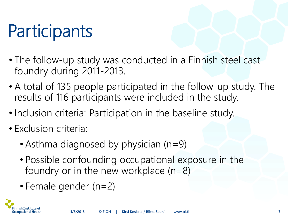## **Participants**

- The follow-up study was conducted in a Finnish steel cast foundry during 2011-2013.
- A total of 135 people participated in the follow-up study. The results of 116 participants were included in the study.
- Inclusion criteria: Participation in the baseline study.
- Exclusion criteria:
	- Asthma diagnosed by physician (n=9)
	- Possible confounding occupational exposure in the foundry or in the new workplace  $(n=8)$
	- Female gender (n=2)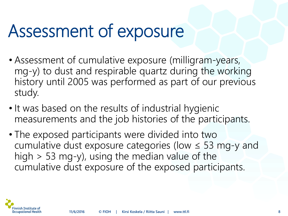### Assessment of exposure

- Assessment of cumulative exposure (milligram-years, mg-y) to dust and respirable quartz during the working history until 2005 was performed as part of our previous study.
- It was based on the results of industrial hygienic measurements and the job histories of the participants.
- The exposed participants were divided into two cumulative dust exposure categories (low  $\leq$  53 mg-y and high > 53 mg-y), using the median value of the cumulative dust exposure of the exposed participants.

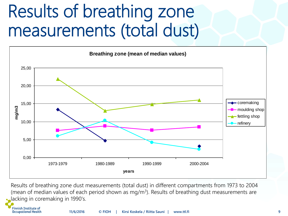#### Results of breathing zone measurements (total dust)



Results of breathing zone dust measurements (total dust) in different compartments from 1973 to 2004 (mean of median values of each period shown as mg/m<sup>3</sup>). Results of breathing dust measurements are lacking in coremaking in 1990's.

Finnish Institute of **Occupational Health**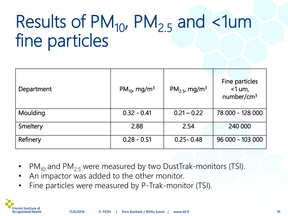### Results of  $PM_{10}$ ,  $PM_{2.5}$  and  $\lt 1$ um fine particles

| Department | $PM_{10}$ , mg/m <sup>3</sup> | $PM_{2.5}$ , mg/m <sup>3</sup> | Fine particles<br>$<$ 1 um,<br>number/ $cm3$ |
|------------|-------------------------------|--------------------------------|----------------------------------------------|
| Moulding   | $0.32 - 0.41$                 | $0.21 - 0.22$                  | 78 000 - 128 000                             |
| Smeltery   | 2.88                          | 2.54                           | 240 000                                      |
| Refinery   | $0.28 - 0.51$                 | $0.25 - 0.48$                  | 96 000 - 103 000                             |

- $PM_{10}$  and  $PM_{2,5}$  were measured by two DustTrak-monitors (TSI).
- An impactor was added to the other monitor.
- Fine particles were measured by P-Trak-monitor (TSI).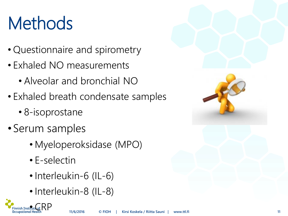## **Methods**

- Questionnaire and spirometry
- Exhaled NO measurements
	- Alveolar and bronchial NO
- Exhaled breath condensate samples
	- 8-isoprostane
- Serum samples
	- Myeloperoksidase (MPO)
	- E-selectin
	- Interleukin-6 (IL-6)
	- Interleukin-8 (IL-8)



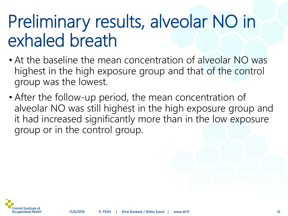#### Preliminary results, alveolar NO in exhaled breath

- At the baseline the mean concentration of alveolar NO was highest in the high exposure group and that of the control group was the lowest.
- After the follow-up period, the mean concentration of alveolar NO was still highest in the high exposure group and it had increased significantly more than in the low exposure group or in the control group.

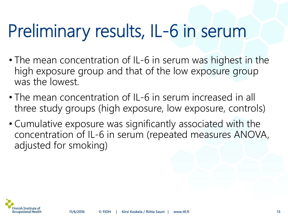### Preliminary results, IL-6 in serum

- The mean concentration of IL-6 in serum was highest in the high exposure group and that of the low exposure group was the lowest.
- The mean concentration of IL-6 in serum increased in all three study groups (high exposure, low exposure, controls)
- Cumulative exposure was significantly associated with the concentration of IL-6 in serum (repeated measures ANOVA, adjusted for smoking)

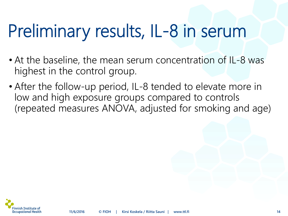#### Preliminary results, IL-8 in serum

- At the baseline, the mean serum concentration of IL-8 was highest in the control group.
- After the follow-up period, IL-8 tended to elevate more in low and high exposure groups compared to controls (repeated measures ANOVA, adjusted for smoking and age)

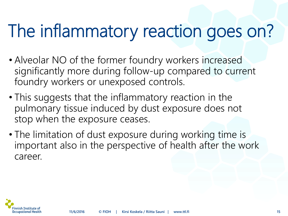### The inflammatory reaction goes on?

- Alveolar NO of the former foundry workers increased significantly more during follow-up compared to current foundry workers or unexposed controls.
- This suggests that the inflammatory reaction in the pulmonary tissue induced by dust exposure does not stop when the exposure ceases.
- The limitation of dust exposure during working time is important also in the perspective of health after the work career.

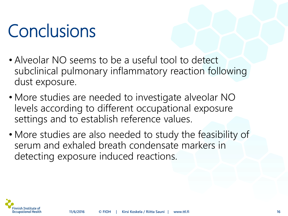### **Conclusions**

- Alveolar NO seems to be a useful tool to detect subclinical pulmonary inflammatory reaction following dust exposure.
- More studies are needed to investigate alveolar NO levels according to different occupational exposure settings and to establish reference values.
- More studies are also needed to study the feasibility of serum and exhaled breath condensate markers in detecting exposure induced reactions.